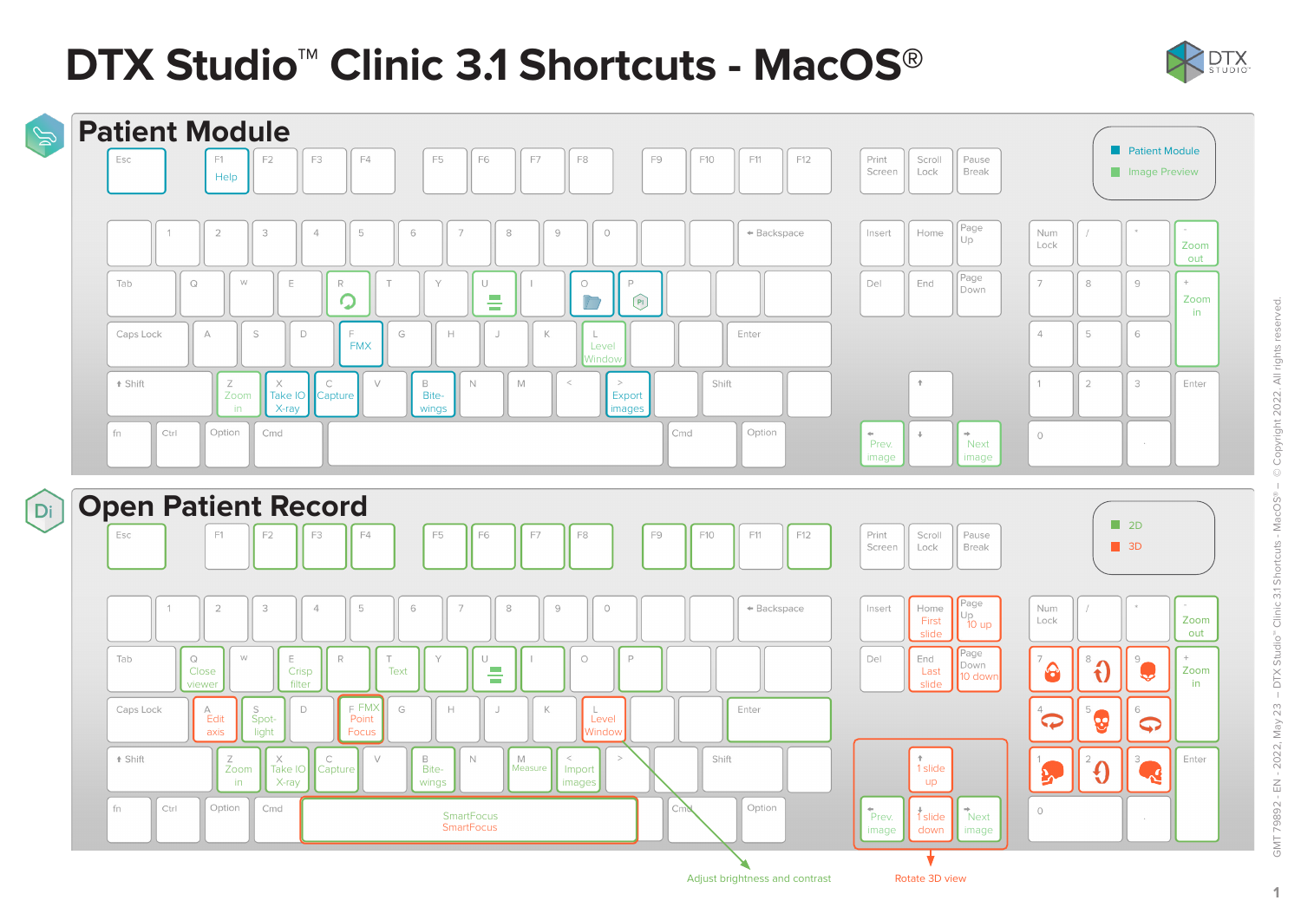# **DTX Studio™ Clinic 3.1 Shortcuts - MacOS®**